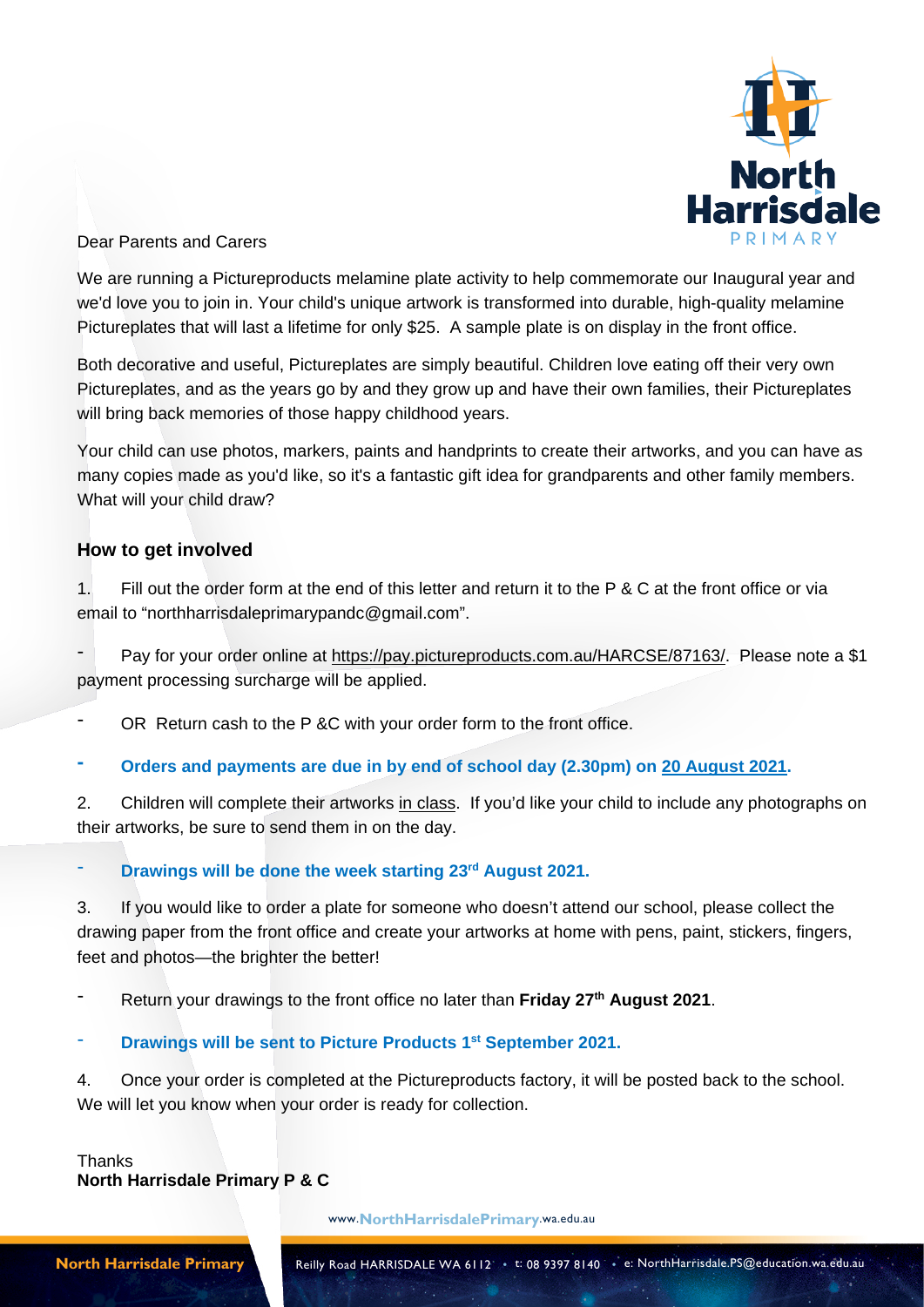

#### Dear Parents and Carers

We are running a Pictureproducts melamine plate activity to help commemorate our Inaugural year and we'd love you to join in. Your child's unique artwork is transformed into durable, high-quality melamine Pictureplates that will last a lifetime for only \$25. A sample plate is on display in the front office.

Both decorative and useful, Pictureplates are simply beautiful. Children love eating off their very own Pictureplates, and as the years go by and they grow up and have their own families, their Pictureplates will bring back memories of those happy childhood years.

Your child can use photos, markers, paints and handprints to create their artworks, and you can have as many copies made as you'd like, so it's a fantastic gift idea for grandparents and other family members. What will your child draw?

### **How to get involved**

1. Fill out the order form at the end of this letter and return it to the P & C at the front office or via email to "northharrisdaleprimarypandc@gmail.com".

Pay for your order online at https://pay.pictureproducts.com.au/HARCSE/87163/. Please note a \$1 payment processing surcharge will be applied.

OR Return cash to the P &C with your order form to the front office.

**- Orders and payments are due in by end of school day (2.30pm) on 20 August 2021.**

2. Children will complete their artworks in class. If you'd like your child to include any photographs on their artworks, be sure to send them in on the day.

#### - **Drawings will be done the week starting 23rd August 2021.**

3. If you would like to order a plate for someone who doesn't attend our school, please collect the drawing paper from the front office and create your artworks at home with pens, paint, stickers, fingers, feet and photos—the brighter the better!

- Return your drawings to the front office no later than **Friday 27th August 2021**.

- **Drawings will be sent to Picture Products 1st September 2021.**

4. Once your order is completed at the Pictureproducts factory, it will be posted back to the school. We will let you know when your order is ready for collection.

**Thanks North Harrisdale Primary P & C**

www.**NorthHarrisdalePrimary**.wa.edu.au